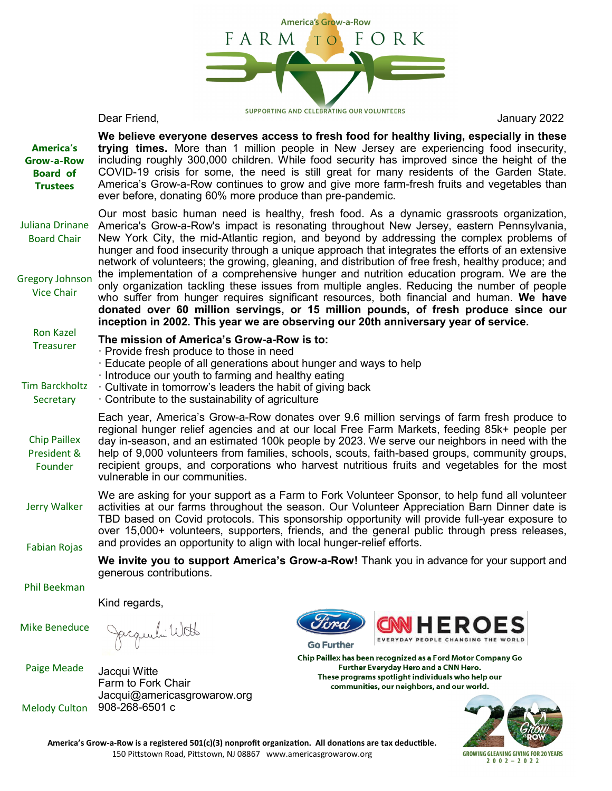

| <b>America's</b><br>Grow-a-Row<br><b>Board of</b><br><b>Trustees</b> | ever before, donating 60% more produce than pre-pandemic.                                                                                                                                                                                                                                                                                                                                                                                                                                                                                                                                                                                                                                                                                                                                                                                                                                                                                                     |                                                                                                                                                                                                         | We believe everyone deserves access to fresh food for healthy living, especially in these<br>trying times. More than 1 million people in New Jersey are experiencing food insecurity,<br>including roughly 300,000 children. While food security has improved since the height of the<br>COVID-19 crisis for some, the need is still great for many residents of the Garden State.<br>America's Grow-a-Row continues to grow and give more farm-fresh fruits and vegetables than |  |
|----------------------------------------------------------------------|---------------------------------------------------------------------------------------------------------------------------------------------------------------------------------------------------------------------------------------------------------------------------------------------------------------------------------------------------------------------------------------------------------------------------------------------------------------------------------------------------------------------------------------------------------------------------------------------------------------------------------------------------------------------------------------------------------------------------------------------------------------------------------------------------------------------------------------------------------------------------------------------------------------------------------------------------------------|---------------------------------------------------------------------------------------------------------------------------------------------------------------------------------------------------------|----------------------------------------------------------------------------------------------------------------------------------------------------------------------------------------------------------------------------------------------------------------------------------------------------------------------------------------------------------------------------------------------------------------------------------------------------------------------------------|--|
| Juliana Drinane<br><b>Board Chair</b>                                | Our most basic human need is healthy, fresh food. As a dynamic grassroots organization,<br>America's Grow-a-Row's impact is resonating throughout New Jersey, eastern Pennsylvania,<br>New York City, the mid-Atlantic region, and beyond by addressing the complex problems of<br>hunger and food insecurity through a unique approach that integrates the efforts of an extensive<br>network of volunteers; the growing, gleaning, and distribution of free fresh, healthy produce; and<br>the implementation of a comprehensive hunger and nutrition education program. We are the<br>only organization tackling these issues from multiple angles. Reducing the number of people<br>who suffer from hunger requires significant resources, both financial and human. We have<br>donated over 60 million servings, or 15 million pounds, of fresh produce since our<br>inception in 2002. This year we are observing our 20th anniversary year of service. |                                                                                                                                                                                                         |                                                                                                                                                                                                                                                                                                                                                                                                                                                                                  |  |
| <b>Gregory Johnson</b><br><b>Vice Chair</b>                          |                                                                                                                                                                                                                                                                                                                                                                                                                                                                                                                                                                                                                                                                                                                                                                                                                                                                                                                                                               |                                                                                                                                                                                                         |                                                                                                                                                                                                                                                                                                                                                                                                                                                                                  |  |
| <b>Ron Kazel</b><br><b>Treasurer</b>                                 | The mission of America's Grow-a-Row is to:<br>· Provide fresh produce to those in need<br>Educate people of all generations about hunger and ways to help                                                                                                                                                                                                                                                                                                                                                                                                                                                                                                                                                                                                                                                                                                                                                                                                     |                                                                                                                                                                                                         |                                                                                                                                                                                                                                                                                                                                                                                                                                                                                  |  |
| <b>Tim Barckholtz</b><br>Secretary                                   | Introduce our youth to farming and healthy eating<br>Cultivate in tomorrow's leaders the habit of giving back<br>Contribute to the sustainability of agriculture                                                                                                                                                                                                                                                                                                                                                                                                                                                                                                                                                                                                                                                                                                                                                                                              |                                                                                                                                                                                                         |                                                                                                                                                                                                                                                                                                                                                                                                                                                                                  |  |
| <b>Chip Paillex</b><br>President &<br>Founder                        | Each year, America's Grow-a-Row donates over 9.6 million servings of farm fresh produce to<br>regional hunger relief agencies and at our local Free Farm Markets, feeding 85k+ people per<br>day in-season, and an estimated 100k people by 2023. We serve our neighbors in need with the<br>help of 9,000 volunteers from families, schools, scouts, faith-based groups, community groups,<br>recipient groups, and corporations who harvest nutritious fruits and vegetables for the most<br>vulnerable in our communities.                                                                                                                                                                                                                                                                                                                                                                                                                                 |                                                                                                                                                                                                         |                                                                                                                                                                                                                                                                                                                                                                                                                                                                                  |  |
| Jerry Walker<br><b>Fabian Rojas</b>                                  | We are asking for your support as a Farm to Fork Volunteer Sponsor, to help fund all volunteer<br>activities at our farms throughout the season. Our Volunteer Appreciation Barn Dinner date is<br>TBD based on Covid protocols. This sponsorship opportunity will provide full-year exposure to<br>over 15,000+ volunteers, supporters, friends, and the general public through press releases,<br>and provides an opportunity to align with local hunger-relief efforts.                                                                                                                                                                                                                                                                                                                                                                                                                                                                                    |                                                                                                                                                                                                         |                                                                                                                                                                                                                                                                                                                                                                                                                                                                                  |  |
|                                                                      | generous contributions.                                                                                                                                                                                                                                                                                                                                                                                                                                                                                                                                                                                                                                                                                                                                                                                                                                                                                                                                       |                                                                                                                                                                                                         | We invite you to support America's Grow-a-Row! Thank you in advance for your support and                                                                                                                                                                                                                                                                                                                                                                                         |  |
| <b>Phil Beekman</b>                                                  |                                                                                                                                                                                                                                                                                                                                                                                                                                                                                                                                                                                                                                                                                                                                                                                                                                                                                                                                                               |                                                                                                                                                                                                         |                                                                                                                                                                                                                                                                                                                                                                                                                                                                                  |  |
|                                                                      | Kind regards,                                                                                                                                                                                                                                                                                                                                                                                                                                                                                                                                                                                                                                                                                                                                                                                                                                                                                                                                                 |                                                                                                                                                                                                         |                                                                                                                                                                                                                                                                                                                                                                                                                                                                                  |  |
| <b>Mike Beneduce</b>                                                 |                                                                                                                                                                                                                                                                                                                                                                                                                                                                                                                                                                                                                                                                                                                                                                                                                                                                                                                                                               | <b>Go Further</b>                                                                                                                                                                                       | <b>HEROES</b><br>EVERYDAY PEOPLE CHANGING THE WORLD                                                                                                                                                                                                                                                                                                                                                                                                                              |  |
| <b>Paige Meade</b>                                                   | Jacqui Witte<br>Farm to Fork Chair<br>Jacqui@americasgrowarow.org                                                                                                                                                                                                                                                                                                                                                                                                                                                                                                                                                                                                                                                                                                                                                                                                                                                                                             | Chip Paillex has been recognized as a Ford Motor Company Go<br>Further Everyday Hero and a CNN Hero.<br>These programs spotlight individuals who help our<br>communities, our neighbors, and our world. |                                                                                                                                                                                                                                                                                                                                                                                                                                                                                  |  |
| <b>Melody Culton</b>                                                 | 908-268-6501 c                                                                                                                                                                                                                                                                                                                                                                                                                                                                                                                                                                                                                                                                                                                                                                                                                                                                                                                                                |                                                                                                                                                                                                         |                                                                                                                                                                                                                                                                                                                                                                                                                                                                                  |  |

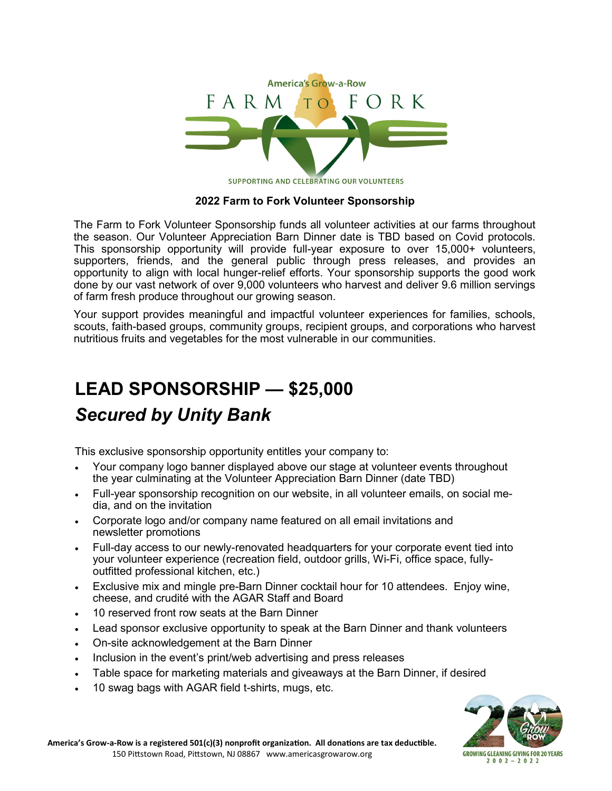

# **2022 Farm to Fork Volunteer Sponsorship**

The Farm to Fork Volunteer Sponsorship funds all volunteer activities at our farms throughout the season. Our Volunteer Appreciation Barn Dinner date is TBD based on Covid protocols. This sponsorship opportunity will provide full-year exposure to over 15,000+ volunteers, supporters, friends, and the general public through press releases, and provides an opportunity to align with local hunger-relief efforts. Your sponsorship supports the good work done by our vast network of over 9,000 volunteers who harvest and deliver 9.6 million servings of farm fresh produce throughout our growing season.

Your support provides meaningful and impactful volunteer experiences for families, schools, scouts, faith-based groups, community groups, recipient groups, and corporations who harvest nutritious fruits and vegetables for the most vulnerable in our communities.

# **LEAD SPONSORSHIP — \$25,000** *Secured by Unity Bank*

This exclusive sponsorship opportunity entitles your company to:

- Your company logo banner displayed above our stage at volunteer events throughout the year culminating at the Volunteer Appreciation Barn Dinner (date TBD)
- Full-year sponsorship recognition on our website, in all volunteer emails, on social media, and on the invitation
- Corporate logo and/or company name featured on all email invitations and newsletter promotions
- Full-day access to our newly-renovated headquarters for your corporate event tied into your volunteer experience (recreation field, outdoor grills, Wi-Fi, office space, fullyoutfitted professional kitchen, etc.)
- Exclusive mix and mingle pre-Barn Dinner cocktail hour for 10 attendees. Enjoy wine, cheese, and crudité with the AGAR Staff and Board
- 10 reserved front row seats at the Barn Dinner
- Lead sponsor exclusive opportunity to speak at the Barn Dinner and thank volunteers
- On-site acknowledgement at the Barn Dinner
- Inclusion in the event's print/web advertising and press releases
- Table space for marketing materials and giveaways at the Barn Dinner, if desired
- 10 swag bags with AGAR field t-shirts, mugs, etc.

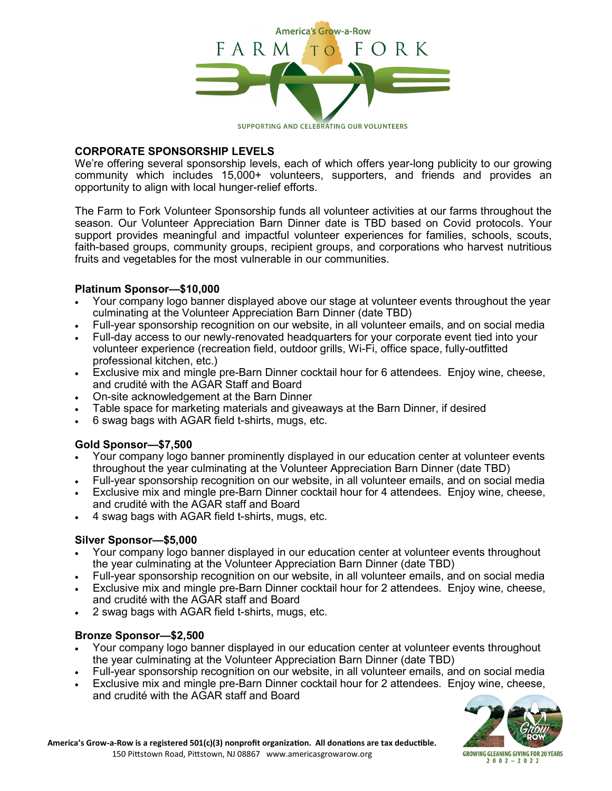

#### **CORPORATE SPONSORSHIP LEVELS**

We're offering several sponsorship levels, each of which offers year-long publicity to our growing community which includes 15,000+ volunteers, supporters, and friends and provides an opportunity to align with local hunger-relief efforts.

The Farm to Fork Volunteer Sponsorship funds all volunteer activities at our farms throughout the season. Our Volunteer Appreciation Barn Dinner date is TBD based on Covid protocols. Your support provides meaningful and impactful volunteer experiences for families, schools, scouts, faith-based groups, community groups, recipient groups, and corporations who harvest nutritious fruits and vegetables for the most vulnerable in our communities.

### **Platinum Sponsor—\$10,000**

- Your company logo banner displayed above our stage at volunteer events throughout the year culminating at the Volunteer Appreciation Barn Dinner (date TBD)
- Full-year sponsorship recognition on our website, in all volunteer emails, and on social media
- Full-day access to our newly-renovated headquarters for your corporate event tied into your volunteer experience (recreation field, outdoor grills, Wi-Fi, office space, fully-outfitted professional kitchen, etc.)
- Exclusive mix and mingle pre-Barn Dinner cocktail hour for 6 attendees. Enjoy wine, cheese, and crudité with the AGAR Staff and Board
- On-site acknowledgement at the Barn Dinner
- Table space for marketing materials and giveaways at the Barn Dinner, if desired
- 6 swag bags with AGAR field t-shirts, mugs, etc.

#### **Gold Sponsor—\$7,500**

- Your company logo banner prominently displayed in our education center at volunteer events throughout the year culminating at the Volunteer Appreciation Barn Dinner (date TBD)
- Full-vear sponsorship recognition on our website, in all volunteer emails, and on social media
- Exclusive mix and mingle pre-Barn Dinner cocktail hour for 4 attendees. Enjoy wine, cheese, and crudité with the AGAR staff and Board
- 4 swag bags with AGAR field t-shirts, mugs, etc.

#### **Silver Sponsor—\$5,000**

- Your company logo banner displayed in our education center at volunteer events throughout the year culminating at the Volunteer Appreciation Barn Dinner (date TBD)
- Full-year sponsorship recognition on our website, in all volunteer emails, and on social media
- Exclusive mix and mingle pre-Barn Dinner cocktail hour for 2 attendees. Enjoy wine, cheese, and crudité with the AGAR staff and Board
- 2 swag bags with AGAR field t-shirts, mugs, etc.

#### **Bronze Sponsor—\$2,500**

- Your company logo banner displayed in our education center at volunteer events throughout the year culminating at the Volunteer Appreciation Barn Dinner (date TBD)
- Full-year sponsorship recognition on our website, in all volunteer emails, and on social media
- Exclusive mix and mingle pre-Barn Dinner cocktail hour for 2 attendees. Enjoy wine, cheese, and crudité with the AGAR staff and Board

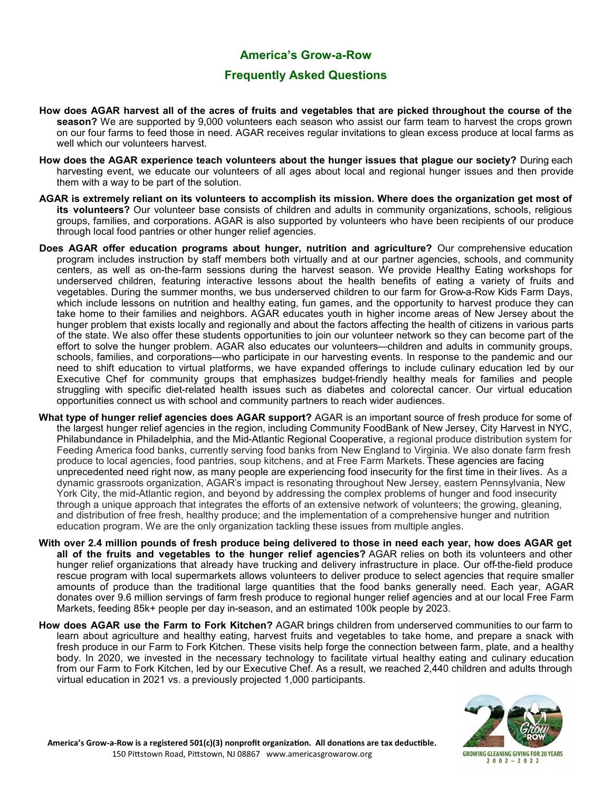### **America's Grow-a-Row**

## **Frequently Asked Questions**

- **How does AGAR harvest all of the acres of fruits and vegetables that are picked throughout the course of the season?** We are supported by 9,000 volunteers each season who assist our farm team to harvest the crops grown on our four farms to feed those in need. AGAR receives regular invitations to glean excess produce at local farms as well which our volunteers harvest.
- **How does the AGAR experience teach volunteers about the hunger issues that plague our society?** During each harvesting event, we educate our volunteers of all ages about local and regional hunger issues and then provide them with a way to be part of the solution.
- **AGAR is extremely reliant on its volunteers to accomplish its mission. Where does the organization get most of its volunteers?** Our volunteer base consists of children and adults in community organizations, schools, religious groups, families, and corporations. AGAR is also supported by volunteers who have been recipients of our produce through local food pantries or other hunger relief agencies.
- **Does AGAR offer education programs about hunger, nutrition and agriculture?** Our comprehensive education program includes instruction by staff members both virtually and at our partner agencies, schools, and community centers, as well as on-the-farm sessions during the harvest season. We provide Healthy Eating workshops for underserved children, featuring interactive lessons about the health benefits of eating a variety of fruits and vegetables. During the summer months, we bus underserved children to our farm for Grow-a-Row Kids Farm Days, which include lessons on nutrition and healthy eating, fun games, and the opportunity to harvest produce they can take home to their families and neighbors. AGAR educates youth in higher income areas of New Jersey about the hunger problem that exists locally and regionally and about the factors affecting the health of citizens in various parts of the state. We also offer these students opportunities to join our volunteer network so they can become part of the effort to solve the hunger problem. AGAR also educates our volunteers—children and adults in community groups, schools, families, and corporations—who participate in our harvesting events. In response to the pandemic and our need to shift education to virtual platforms, we have expanded offerings to include culinary education led by our Executive Chef for community groups that emphasizes budget-friendly healthy meals for families and people struggling with specific diet-related health issues such as diabetes and colorectal cancer. Our virtual education opportunities connect us with school and community partners to reach wider audiences.
- **What type of hunger relief agencies does AGAR support?** AGAR is an important source of fresh produce for some of the largest hunger relief agencies in the region, including Community FoodBank of New Jersey, City Harvest in NYC, Philabundance in Philadelphia, and the Mid-Atlantic Regional Cooperative, a regional produce distribution system for Feeding America food banks, currently serving food banks from New England to Virginia. We also donate farm fresh produce to local agencies, food pantries, soup kitchens, and at Free Farm Markets. These agencies are facing unprecedented need right now, as many people are experiencing food insecurity for the first time in their lives. As a dynamic grassroots organization, AGAR's impact is resonating throughout New Jersey, eastern Pennsylvania, New York City, the mid-Atlantic region, and beyond by addressing the complex problems of hunger and food insecurity through a unique approach that integrates the efforts of an extensive network of volunteers; the growing, gleaning, and distribution of free fresh, healthy produce; and the implementation of a comprehensive hunger and nutrition education program. We are the only organization tackling these issues from multiple angles.
- **With over 2.4 million pounds of fresh produce being delivered to those in need each year, how does AGAR get all of the fruits and vegetables to the hunger relief agencies?** AGAR relies on both its volunteers and other hunger relief organizations that already have trucking and delivery infrastructure in place. Our off-the-field produce rescue program with local supermarkets allows volunteers to deliver produce to select agencies that require smaller amounts of produce than the traditional large quantities that the food banks generally need. Each year, AGAR donates over 9.6 million servings of farm fresh produce to regional hunger relief agencies and at our local Free Farm Markets, feeding 85k+ people per day in-season, and an estimated 100k people by 2023.
- **How does AGAR use the Farm to Fork Kitchen?** AGAR brings children from underserved communities to our farm to learn about agriculture and healthy eating, harvest fruits and vegetables to take home, and prepare a snack with fresh produce in our Farm to Fork Kitchen. These visits help forge the connection between farm, plate, and a healthy body. In 2020, we invested in the necessary technology to facilitate virtual healthy eating and culinary education from our Farm to Fork Kitchen, led by our Executive Chef. As a result, we reached 2,440 children and adults through virtual education in 2021 vs. a previously projected 1,000 participants.

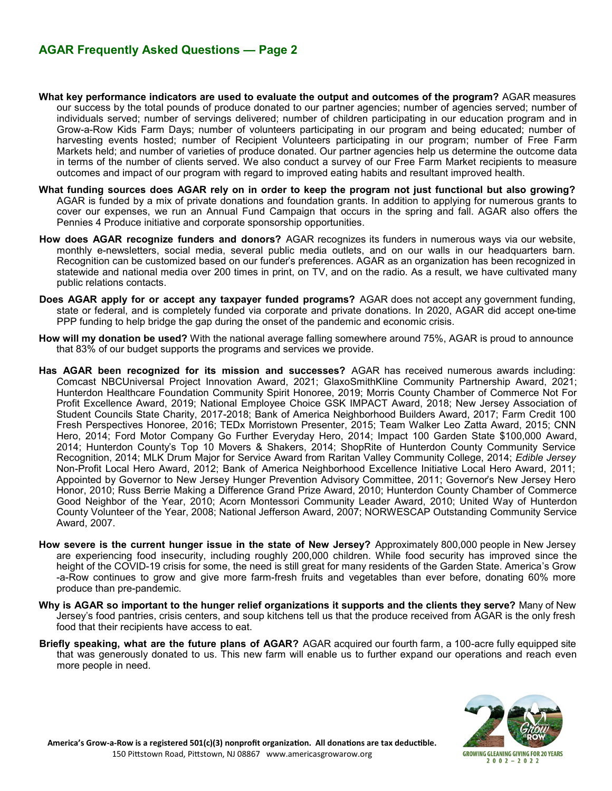- **What key performance indicators are used to evaluate the output and outcomes of the program?** AGAR measures our success by the total pounds of produce donated to our partner agencies; number of agencies served; number of individuals served; number of servings delivered; number of children participating in our education program and in Grow-a-Row Kids Farm Days; number of volunteers participating in our program and being educated; number of harvesting events hosted; number of Recipient Volunteers participating in our program; number of Free Farm Markets held; and number of varieties of produce donated. Our partner agencies help us determine the outcome data in terms of the number of clients served. We also conduct a survey of our Free Farm Market recipients to measure outcomes and impact of our program with regard to improved eating habits and resultant improved health.
- **What funding sources does AGAR rely on in order to keep the program not just functional but also growing?** AGAR is funded by a mix of private donations and foundation grants. In addition to applying for numerous grants to cover our expenses, we run an Annual Fund Campaign that occurs in the spring and fall. AGAR also offers the Pennies 4 Produce initiative and corporate sponsorship opportunities.
- **How does AGAR recognize funders and donors?** AGAR recognizes its funders in numerous ways via our website, monthly e-newsletters, social media, several public media outlets, and on our walls in our headquarters barn. Recognition can be customized based on our funder's preferences. AGAR as an organization has been recognized in statewide and national media over 200 times in print, on TV, and on the radio. As a result, we have cultivated many public relations contacts.
- **Does AGAR apply for or accept any taxpayer funded programs?** AGAR does not accept any government funding, state or federal, and is completely funded via corporate and private donations. In 2020, AGAR did accept one-time PPP funding to help bridge the gap during the onset of the pandemic and economic crisis.
- **How will my donation be used?** With the national average falling somewhere around 75%, AGAR is proud to announce that 83% of our budget supports the programs and services we provide.
- **Has AGAR been recognized for its mission and successes?** AGAR has received numerous awards including: Comcast NBCUniversal Project Innovation Award, 2021; GlaxoSmithKline Community Partnership Award, 2021; Hunterdon Healthcare Foundation Community Spirit Honoree, 2019; Morris County Chamber of Commerce Not For Profit Excellence Award, 2019; National Employee Choice GSK IMPACT Award, 2018; New Jersey Association of Student Councils State Charity, 2017-2018; Bank of America Neighborhood Builders Award, 2017; Farm Credit 100 Fresh Perspectives Honoree, 2016; TEDx Morristown Presenter, 2015; Team Walker Leo Zatta Award, 2015; CNN Hero, 2014; Ford Motor Company Go Further Everyday Hero, 2014; Impact 100 Garden State \$100,000 Award, 2014; Hunterdon County's Top 10 Movers & Shakers, 2014; ShopRite of Hunterdon County Community Service Recognition, 2014; MLK Drum Major for Service Award from Raritan Valley Community College, 2014; *Edible Jersey* Non-Profit Local Hero Award, 2012; Bank of America Neighborhood Excellence Initiative Local Hero Award, 2011; Appointed by Governor to New Jersey Hunger Prevention Advisory Committee, 2011; Governor's New Jersey Hero Honor, 2010; Russ Berrie Making a Difference Grand Prize Award, 2010; Hunterdon County Chamber of Commerce Good Neighbor of the Year, 2010; Acorn Montessori Community Leader Award, 2010; United Way of Hunterdon County Volunteer of the Year, 2008; National Jefferson Award, 2007; NORWESCAP Outstanding Community Service Award, 2007.
- **How severe is the current hunger issue in the state of New Jersey?** Approximately 800,000 people in New Jersey are experiencing food insecurity, including roughly 200,000 children. While food security has improved since the height of the COVID-19 crisis for some, the need is still great for many residents of the Garden State. America's Grow -a-Row continues to grow and give more farm-fresh fruits and vegetables than ever before, donating 60% more produce than pre-pandemic.
- **Why is AGAR so important to the hunger relief organizations it supports and the clients they serve?** Many of New Jersey's food pantries, crisis centers, and soup kitchens tell us that the produce received from AGAR is the only fresh food that their recipients have access to eat.
- **Briefly speaking, what are the future plans of AGAR?** AGAR acquired our fourth farm, a 100-acre fully equipped site that was generously donated to us. This new farm will enable us to further expand our operations and reach even more people in need.